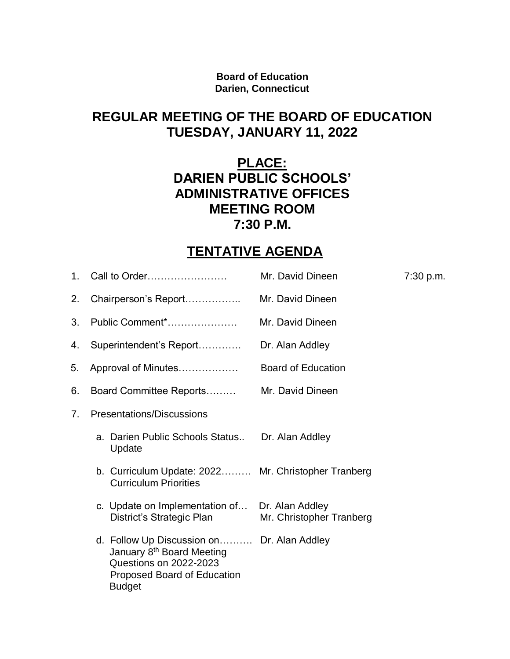**Board of Education Darien, Connecticut**

## **REGULAR MEETING OF THE BOARD OF EDUCATION TUESDAY, JANUARY 11, 2022**

## **PLACE: DARIEN PUBLIC SCHOOLS' ADMINISTRATIVE OFFICES MEETING ROOM 7:30 P.M.**

# **TENTATIVE AGENDA**

| 1.             | Call to Order                                                                                                                                                        | Mr. David Dineen          | 7:30 p.m. |
|----------------|----------------------------------------------------------------------------------------------------------------------------------------------------------------------|---------------------------|-----------|
| 2.             | Chairperson's Report                                                                                                                                                 | Mr. David Dineen          |           |
| 3.             | Public Comment*                                                                                                                                                      | Mr. David Dineen          |           |
| 4.             | Superintendent's Report                                                                                                                                              | Dr. Alan Addley           |           |
| 5.             | Approval of Minutes                                                                                                                                                  | <b>Board of Education</b> |           |
| 6.             | Board Committee Reports                                                                                                                                              | Mr. David Dineen          |           |
| 7 <sub>1</sub> | Presentations/Discussions                                                                                                                                            |                           |           |
|                | a. Darien Public Schools Status Dr. Alan Addley<br>Update                                                                                                            |                           |           |
|                | b. Curriculum Update: 2022 Mr. Christopher Tranberg<br><b>Curriculum Priorities</b>                                                                                  |                           |           |
|                | c. Update on Implementation of Dr. Alan Addley<br>District's Strategic Plan                                                                                          | Mr. Christopher Tranberg  |           |
|                | d. Follow Up Discussion on Dr. Alan Addley<br>January 8 <sup>th</sup> Board Meeting<br><b>Questions on 2022-2023</b><br>Proposed Board of Education<br><b>Budget</b> |                           |           |